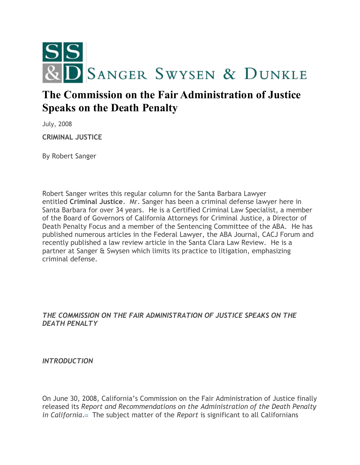

# **The Commission on the Fair Administration of Justice Speaks on the Death Penalty**

July, 2008

**CRIMINAL JUSTICE**

By Robert Sanger

Robert Sanger writes this regular column for the Santa Barbara Lawyer entitled **Criminal Justice**. Mr. Sanger has been a criminal defense lawyer here in Santa Barbara for over 34 years. He is a Certified Criminal Law Specialist, a member of the Board of Governors of California Attorneys for Criminal Justice, a Director of Death Penalty Focus and a member of the Sentencing Committee of the ABA. He has published numerous articles in the Federal Lawyer, the ABA Journal, CACJ Forum and recently published a law review article in the Santa Clara Law Review. He is a partner at Sanger & Swysen which limits its practice to litigation, emphasizing criminal defense.

### *THE COMMISSION ON THE FAIR ADMINISTRATION OF JUSTICE SPEAKS ON THE DEATH PENALTY*

*INTRODUCTION*

On June 30, 2008, California's Commission on the Fair Administration of Justice finally released its *Report and Recommendations on the Administration of the Death Penalty in California*[.](#page-8-0)<sup>[1]</sup> The subject matter of the *Report* is significant to all Californians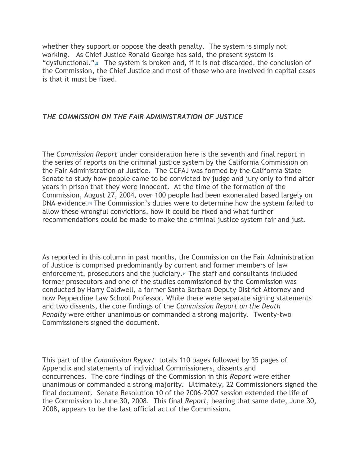whether they support or oppose the death penalty. The system is simply not working. As Chief Justice Ronald George has said, the present system is "dysfunctional." $\mathbb{Z}$  The system is broken and, if it is not discarded, the conclusion of the Commission, the Chief Justice and most of those who are involved in capital cases is that it must be fixed.

#### *THE COMMISSION ON THE FAIR ADMINISTRATION OF JUSTICE*

The *Commission Report* under consideration here is the seventh and final report in the series of reports on the criminal justice system by the California Commission on the Fair Administration of Justice. The CCFAJ was formed by the California State Senate to study how people came to be convicted by judge and jury only to find after years in prison that they were innocent. At the time of the formation of the Commission, August 27, 2004, over 100 people had been exonerated based largely on DNA evidence[.](#page-8-2)[3] The Commission's duties were to determine how the system failed to allow these wrongful convictions, how it could be fixed and what further recommendations could be made to make the criminal justice system fair and just.

As reported in this column in past months, the Commission on the Fair Administration of Justice is comprised predominantly by current and former members of law enforcement, prosecutors and the judiciary[.](#page-8-3)<sup>[4]</sup> The staff and consultants included former prosecutors and one of the studies commissioned by the Commission was conducted by Harry Caldwell, a former Santa Barbara Deputy District Attorney and now Pepperdine Law School Professor. While there were separate signing statements and two dissents, the core findings of the *Commission Report on the Death Penalty* were either unanimous or commanded a strong majority. Twenty-two Commissioners signed the document.

This part of the *Commission Report* totals 110 pages followed by 35 pages of Appendix and statements of individual Commissioners, dissents and concurrences. The core findings of the Commission in this *Report* were either unanimous or commanded a strong majority. Ultimately, 22 Commissioners signed the final document. Senate Resolution 10 of the 2006-2007 session extended the life of the Commission to June 30, 2008. This final *Report*, bearing that same date, June 30, 2008, appears to be the last official act of the Commission.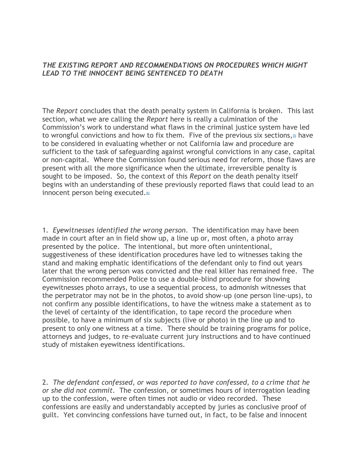#### *THE EXISTING REPORT AND RECOMMENDATIONS ON PROCEDURES WHICH MIGHT LEAD TO THE INNOCENT BEING SENTENCED TO DEATH*

The *Report* concludes that the death penalty system in California is broken. This last section, what we are calling the *Report* here is really a culmination of the Commission's work to understand what flaws in the criminal justice system have led to wrongful convictions and how to fix them. Five of the previous six sections, $\mathfrak{g}$  have to be considered in evaluating whether or not California law and procedure are sufficient to the task of safeguarding against wrongful convictions in any case, capital or non-capital. Where the Commission found serious need for reform, those flaws are present with all the more significance when the ultimate, irreversible penalty is sought to be imposed. So, the context of this *Report* on the death penalty itself begins with an understanding of these previously reported flaws that could lead to an innocent person being executed[.](#page-8-5)<sup>[6]</sup>

1. *Eyewitnesses identified the wrong person*. The identification may have been made in court after an in field show up, a line up or, most often, a photo array presented by the police. The intentional, but more often unintentional, suggestiveness of these identification procedures have led to witnesses taking the stand and making emphatic identifications of the defendant only to find out years later that the wrong person was convicted and the real killer has remained free. The Commission recommended Police to use a double-blind procedure for showing eyewitnesses photo arrays, to use a sequential process, to admonish witnesses that the perpetrator may not be in the photos, to avoid show-up (one person line-ups), to not confirm any possible identifications, to have the witness make a statement as to the level of certainty of the identification, to tape record the procedure when possible, to have a minimum of six subjects (live or photo) in the line up and to present to only one witness at a time. There should be training programs for police, attorneys and judges, to re-evaluate current jury instructions and to have continued study of mistaken eyewitness identifications.

2. *The defendant confessed, or was reported to have confessed, to a crime that he or she did not commit*. The confession, or sometimes hours of interrogation leading up to the confession, were often times not audio or video recorded. These confessions are easily and understandably accepted by juries as conclusive proof of guilt. Yet convincing confessions have turned out, in fact, to be false and innocent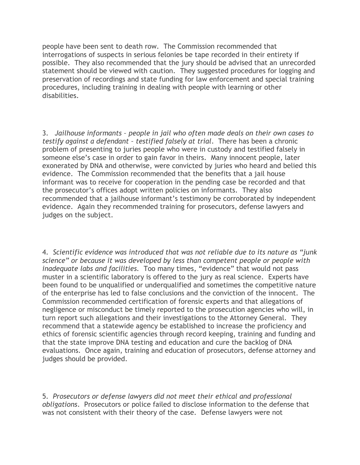people have been sent to death row. The Commission recommended that interrogations of suspects in serious felonies be tape recorded in their entirety if possible. They also recommended that the jury should be advised that an unrecorded statement should be viewed with caution. They suggested procedures for logging and preservation of recordings and state funding for law enforcement and special training procedures, including training in dealing with people with learning or other disabilities.

3. *Jailhouse informants – people in jail who often made deals on their own cases to testify against a defendant – testified falsely at trial*. There has been a chronic problem of presenting to juries people who were in custody and testified falsely in someone else's case in order to gain favor in theirs. Many innocent people, later exonerated by DNA and otherwise, were convicted by juries who heard and belied this evidence. The Commission recommended that the benefits that a jail house informant was to receive for cooperation in the pending case be recorded and that the prosecutor's offices adopt written policies on informants. They also recommended that a jailhouse informant's testimony be corroborated by independent evidence. Again they recommended training for prosecutors, defense lawyers and judges on the subject.

4. *Scientific evidence was introduced that was not reliable due to its nature as "junk science" or because it was developed by less than competent people or people with inadequate labs and facilities.* Too many times, "evidence" that would not pass muster in a scientific laboratory is offered to the jury as real science. Experts have been found to be unqualified or underqualified and sometimes the competitive nature of the enterprise has led to false conclusions and the conviction of the innocent. The Commission recommended certification of forensic experts and that allegations of negligence or misconduct be timely reported to the prosecution agencies who will, in turn report such allegations and their investigations to the Attorney General. They recommend that a statewide agency be established to increase the proficiency and ethics of forensic scientific agencies through record keeping, training and funding and that the state improve DNA testing and education and cure the backlog of DNA evaluations. Once again, training and education of prosecutors, defense attorney and judges should be provided.

5. *Prosecutors or defense lawyers did not meet their ethical and professional obligations*. Prosecutors or police failed to disclose information to the defense that was not consistent with their theory of the case. Defense lawyers were not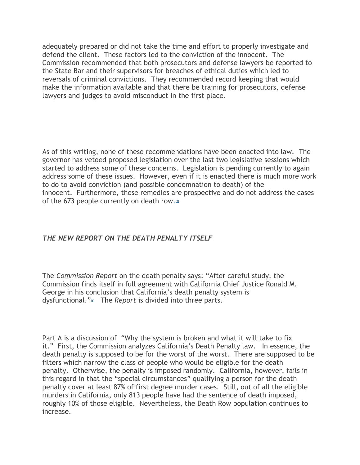adequately prepared or did not take the time and effort to properly investigate and defend the client. These factors led to the conviction of the innocent. The Commission recommended that both prosecutors and defense lawyers be reported to the State Bar and their supervisors for breaches of ethical duties which led to reversals of criminal convictions. They recommended record keeping that would make the information available and that there be training for prosecutors, defense lawyers and judges to avoid misconduct in the first place.

As of this writing, none of these recommendations have been enacted into law. The governor has vetoed proposed legislation over the last two legislative sessions which started to address some of these concerns. Legislation is pending currently to again address some of these issues. However, even if it is enacted there is much more work to do to avoid conviction (and possible condemnation to death) of the innocent. Furthermore, these remedies are prospective and do not address the cases of the 673 people currently on death row.<sup>[\[7\]](#page-8-6)</sup>

## *THE NEW REPORT ON THE DEATH PENALTY ITSELF*

The *Commission Report* on the death penalty says: "After careful study, the Commission finds itself in full agreement with California Chief Justice Ronald M. George in his conclusion that California's death penalty system is dysfunctional.["](#page-8-7)[8] The *Report* is divided into three parts.

Part A is a discussion of "Why the system is broken and what it will take to fix it." First, the Commission analyzes California's Death Penalty law. In essence, the death penalty is supposed to be for the worst of the worst. There are supposed to be filters which narrow the class of people who would be eligible for the death penalty. Otherwise, the penalty is imposed randomly. California, however, fails in this regard in that the "special circumstances" qualifying a person for the death penalty cover at least 87% of first degree murder cases. Still, out of all the eligible murders in California, only 813 people have had the sentence of death imposed, roughly 10% of those eligible. Nevertheless, the Death Row population continues to increase.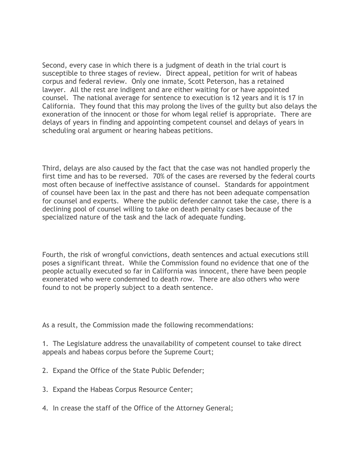Second, every case in which there is a judgment of death in the trial court is susceptible to three stages of review. Direct appeal, petition for writ of habeas corpus and federal review. Only one inmate, Scott Peterson, has a retained lawyer. All the rest are indigent and are either waiting for or have appointed counsel. The national average for sentence to execution is 12 years and it is 17 in California. They found that this may prolong the lives of the guilty but also delays the exoneration of the innocent or those for whom legal relief is appropriate. There are delays of years in finding and appointing competent counsel and delays of years in scheduling oral argument or hearing habeas petitions.

Third, delays are also caused by the fact that the case was not handled properly the first time and has to be reversed. 70% of the cases are reversed by the federal courts most often because of ineffective assistance of counsel. Standards for appointment of counsel have been lax in the past and there has not been adequate compensation for counsel and experts. Where the public defender cannot take the case, there is a declining pool of counsel willing to take on death penalty cases because of the specialized nature of the task and the lack of adequate funding.

Fourth, the risk of wrongful convictions, death sentences and actual executions still poses a significant threat. While the Commission found no evidence that one of the people actually executed so far in California was innocent, there have been people exonerated who were condemned to death row. There are also others who were found to not be properly subject to a death sentence.

As a result, the Commission made the following recommendations:

1. The Legislature address the unavailability of competent counsel to take direct appeals and habeas corpus before the Supreme Court;

- 2. Expand the Office of the State Public Defender;
- 3. Expand the Habeas Corpus Resource Center;
- 4. In crease the staff of the Office of the Attorney General;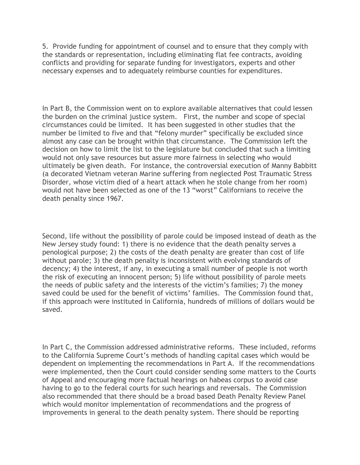5. Provide funding for appointment of counsel and to ensure that they comply with the standards or representation, including eliminating flat fee contracts, avoiding conflicts and providing for separate funding for investigators, experts and other necessary expenses and to adequately reimburse counties for expenditures.

In Part B, the Commission went on to explore available alternatives that could lessen the burden on the criminal justice system. First, the number and scope of special circumstances could be limited. It has been suggested in other studies that the number be limited to five and that "felony murder" specifically be excluded since almost any case can be brought within that circumstance. The Commission left the decision on how to limit the list to the legislature but concluded that such a limiting would not only save resources but assure more fairness in selecting who would ultimately be given death. For instance, the controversial execution of Manny Babbitt (a decorated Vietnam veteran Marine suffering from neglected Post Traumatic Stress Disorder, whose victim died of a heart attack when he stole change from her room) would not have been selected as one of the 13 "worst" Californians to receive the death penalty since 1967.

Second, life without the possibility of parole could be imposed instead of death as the New Jersey study found: 1) there is no evidence that the death penalty serves a penological purpose; 2) the costs of the death penalty are greater than cost of life without parole; 3) the death penalty is inconsistent with evolving standards of decency; 4) the interest, if any, in executing a small number of people is not worth the risk of executing an innocent person; 5) life without possibility of parole meets the needs of public safety and the interests of the victim's families; 7) the money saved could be used for the benefit of victims' families. The Commission found that, if this approach were instituted in California, hundreds of millions of dollars would be saved.

In Part C, the Commission addressed administrative reforms. These included, reforms to the California Supreme Court's methods of handling capital cases which would be dependent on implementing the recommendations in Part A. If the recommendations were implemented, then the Court could consider sending some matters to the Courts of Appeal and encouraging more factual hearings on habeas corpus to avoid case having to go to the federal courts for such hearings and reversals. The Commission also recommended that there should be a broad based Death Penalty Review Panel which would monitor implementation of recommendations and the progress of improvements in general to the death penalty system. There should be reporting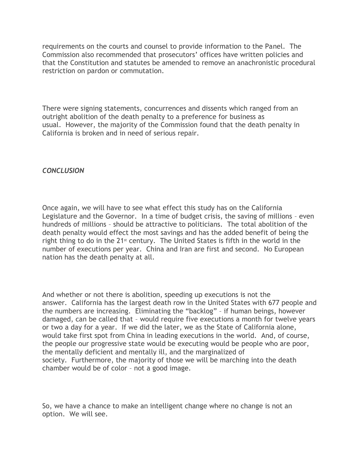requirements on the courts and counsel to provide information to the Panel. The Commission also recommended that prosecutors' offices have written policies and that the Constitution and statutes be amended to remove an anachronistic procedural restriction on pardon or commutation.

There were signing statements, concurrences and dissents which ranged from an outright abolition of the death penalty to a preference for business as usual. However, the majority of the Commission found that the death penalty in California is broken and in need of serious repair.

#### *CONCLUSION*

Once again, we will have to see what effect this study has on the California Legislature and the Governor. In a time of budget crisis, the saving of millions – even hundreds of millions – should be attractive to politicians. The total abolition of the death penalty would effect the most savings and has the added benefit of being the right thing to do in the  $21<sup>st</sup>$  century. The United States is fifth in the world in the number of executions per year. China and Iran are first and second. No European nation has the death penalty at all.

And whether or not there is abolition, speeding up executions is not the answer. California has the largest death row in the United States with 677 people and the numbers are increasing. Eliminating the "backlog" – if human beings, however damaged, can be called that – would require five executions a month for twelve years or two a day for a year. If we did the later, we as the State of California alone, would take first spot from China in leading executions in the world. And, of course, the people our progressive state would be executing would be people who are poor, the mentally deficient and mentally ill, and the marginalized of society. Furthermore, the majority of those we will be marching into the death chamber would be of color – not a good image.

So, we have a chance to make an intelligent change where no change is not an option. We will see.